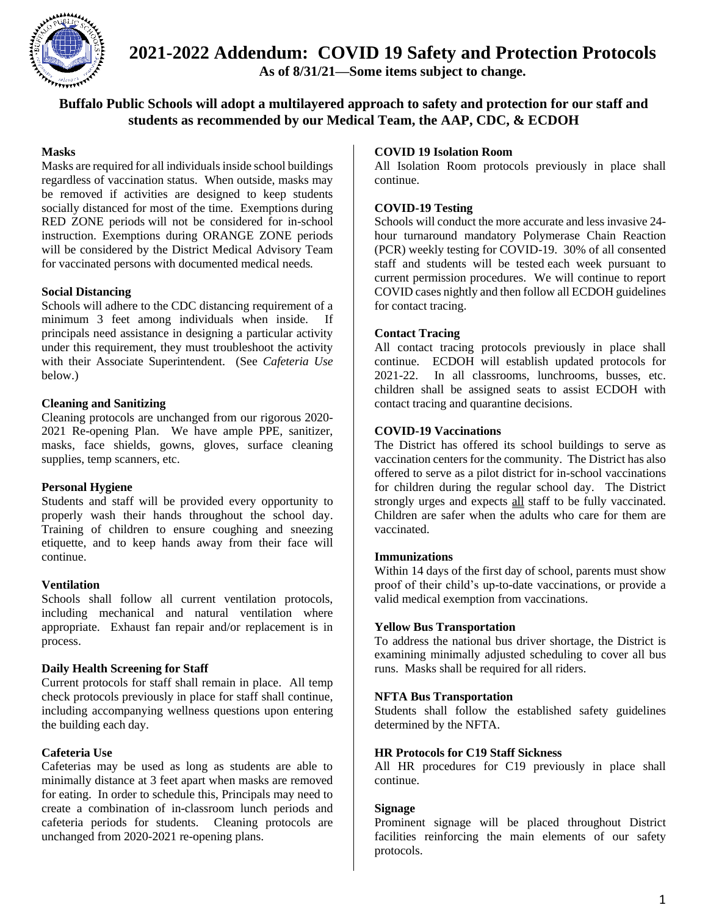

**2021-2022 Addendum: COVID 19 Safety and Protection Protocols**

**As of 8/31/21—Some items subject to change.**

### **Buffalo Public Schools will adopt a multilayered approach to safety and protection for our staff and students as recommended by our Medical Team, the AAP, CDC, & ECDOH**

### **Masks**

Masks are required for all individuals inside school buildings regardless of vaccination status. When outside, masks may be removed if activities are designed to keep students socially distanced for most of the time. Exemptions during RED ZONE periods will not be considered for in-school instruction. Exemptions during ORANGE ZONE periods will be considered by the District Medical Advisory Team for vaccinated persons with documented medical needs.

### **Social Distancing**

Schools will adhere to the CDC distancing requirement of a minimum 3 feet among individuals when inside. If principals need assistance in designing a particular activity under this requirement, they must troubleshoot the activity with their Associate Superintendent. (See *Cafeteria Use* below.)

### **Cleaning and Sanitizing**

Cleaning protocols are unchanged from our rigorous 2020- 2021 Re-opening Plan. We have ample PPE, sanitizer, masks, face shields, gowns, gloves, surface cleaning supplies, temp scanners, etc.

### **Personal Hygiene**

Students and staff will be provided every opportunity to properly wash their hands throughout the school day. Training of children to ensure coughing and sneezing etiquette, and to keep hands away from their face will continue.

### **Ventilation**

Schools shall follow all current ventilation protocols, including mechanical and natural ventilation where appropriate. Exhaust fan repair and/or replacement is in process.

### **Daily Health Screening for Staff**

Current protocols for staff shall remain in place. All temp check protocols previously in place for staff shall continue, including accompanying wellness questions upon entering the building each day.

### **Cafeteria Use**

Cafeterias may be used as long as students are able to minimally distance at 3 feet apart when masks are removed for eating. In order to schedule this, Principals may need to create a combination of in-classroom lunch periods and cafeteria periods for students. Cleaning protocols are unchanged from 2020-2021 re-opening plans.

### **COVID 19 Isolation Room**

All Isolation Room protocols previously in place shall continue.

### **COVID-19 Testing**

Schools will conduct the more accurate and less invasive 24 hour turnaround mandatory Polymerase Chain Reaction (PCR) weekly testing for COVID-19. 30% of all consented staff and students will be tested each week pursuant to current permission procedures. We will continue to report COVID cases nightly and then follow all ECDOH guidelines for contact tracing.

### **Contact Tracing**

All contact tracing protocols previously in place shall continue. ECDOH will establish updated protocols for 2021-22. In all classrooms, lunchrooms, busses, etc. children shall be assigned seats to assist ECDOH with contact tracing and quarantine decisions.

### **COVID-19 Vaccinations**

The District has offered its school buildings to serve as vaccination centers for the community. The District has also offered to serve as a pilot district for in-school vaccinations for children during the regular school day. The District strongly urges and expects all staff to be fully vaccinated. Children are safer when the adults who care for them are vaccinated.

### **Immunizations**

Within 14 days of the first day of school, parents must show proof of their child's up-to-date vaccinations, or provide a valid medical exemption from vaccinations.

### **Yellow Bus Transportation**

To address the national bus driver shortage, the District is examining minimally adjusted scheduling to cover all bus runs. Masks shall be required for all riders.

### **NFTA Bus Transportation**

Students shall follow the established safety guidelines determined by the NFTA.

### **HR Protocols for C19 Staff Sickness**

All HR procedures for C19 previously in place shall continue.

### **Signage**

Prominent signage will be placed throughout District facilities reinforcing the main elements of our safety protocols.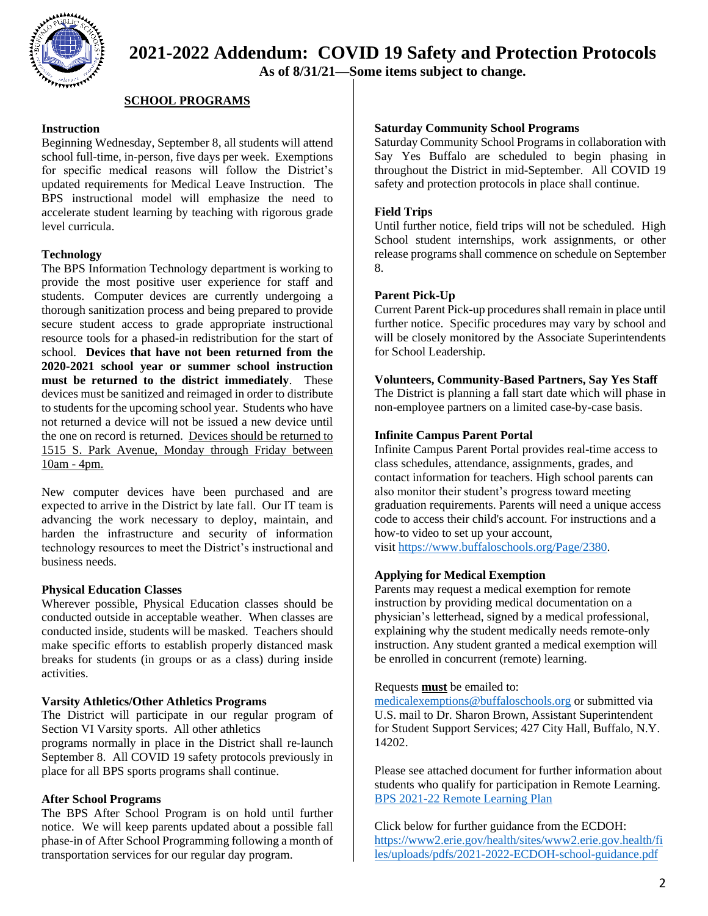

## **2021-2022 Addendum: COVID 19 Safety and Protection Protocols**

**As of 8/31/21—Some items subject to change.**

### **SCHOOL PROGRAMS**

### **Instruction**

Beginning Wednesday, September 8, all students will attend school full-time, in-person, five days per week. Exemptions for specific medical reasons will follow the District's updated requirements for Medical Leave Instruction. The BPS instructional model will emphasize the need to accelerate student learning by teaching with rigorous grade level curricula.

### **Technology**

The BPS Information Technology department is working to provide the most positive user experience for staff and students. Computer devices are currently undergoing a thorough sanitization process and being prepared to provide secure student access to grade appropriate instructional resource tools for a phased-in redistribution for the start of school. **Devices that have not been returned from the 2020-2021 school year or summer school instruction must be returned to the district immediately**. These devices must be sanitized and reimaged in order to distribute to students for the upcoming school year. Students who have not returned a device will not be issued a new device until the one on record is returned. Devices should be returned to 1515 S. Park Avenue, Monday through Friday between 10am - 4pm.

New computer devices have been purchased and are expected to arrive in the District by late fall. Our IT team is advancing the work necessary to deploy, maintain, and harden the infrastructure and security of information technology resources to meet the District's instructional and business needs.

### **Physical Education Classes**

Wherever possible, Physical Education classes should be conducted outside in acceptable weather. When classes are conducted inside, students will be masked. Teachers should make specific efforts to establish properly distanced mask breaks for students (in groups or as a class) during inside activities.

### **Varsity Athletics/Other Athletics Programs**

The District will participate in our regular program of Section VI Varsity sports. All other athletics programs normally in place in the District shall re-launch

September 8. All COVID 19 safety protocols previously in place for all BPS sports programs shall continue.

### **After School Programs**

The BPS After School Program is on hold until further notice. We will keep parents updated about a possible fall phase-in of After School Programming following a month of transportation services for our regular day program.

### **Saturday Community School Programs**

Saturday Community School Programs in collaboration with Say Yes Buffalo are scheduled to begin phasing in throughout the District in mid-September. All COVID 19 safety and protection protocols in place shall continue.

### **Field Trips**

Until further notice, field trips will not be scheduled. High School student internships, work assignments, or other release programs shall commence on schedule on September 8.

### **Parent Pick-Up**

Current Parent Pick-up procedures shall remain in place until further notice. Specific procedures may vary by school and will be closely monitored by the Associate Superintendents for School Leadership.

#### **Volunteers, Community-Based Partners, Say Yes Staff**

The District is planning a fall start date which will phase in non-employee partners on a limited case-by-case basis.

### **Infinite Campus Parent Portal**

Infinite Campus Parent Portal provides real-time access to class schedules, attendance, assignments, grades, and contact information for teachers. High school parents can also monitor their student's progress toward meeting graduation requirements. Parents will need a unique access code to access their child's account. For instructions and a how-to video to set up your account,

visit [https://www.buffaloschools.org/Page/2380.](https://www.buffaloschools.org/Page/2380)

### **Applying for Medical Exemption**

Parents may request a medical exemption for remote instruction by providing medical documentation on a physician's letterhead, signed by a medical professional, explaining why the student medically needs remote-only instruction. Any student granted a medical exemption will be enrolled in concurrent (remote) learning.

### Requests **must** be emailed to:

[medicalexemptions@buffaloschools.org](mailto:medicalexemptions@buffaloschools.org) or submitted via U.S. mail to Dr. Sharon Brown, Assistant Superintendent for Student Support Services; 427 City Hall, Buffalo, N.Y. 14202.

Please see attached document for further information about students who qualify for participation in Remote Learning. [BPS 2021-22 Remote](file:///C:/Users/nlowe660/OneDrive%20-%20Buffalo%20Public%20Schools/CABINET/Anne%20Botticelli/BPS%202021-22%20Remote%20Learning%20Plan%208.26.21.pdf) Learning Plan

Click below for further guidance from the ECDOH: [https://www2.erie.gov/health/sites/www2.erie.gov.health/fi](https://www2.erie.gov/health/sites/www2.erie.gov.health/files/uploads/pdfs/2021-2022-ECDOH-school-guidance.pdf) [les/uploads/pdfs/2021-2022-ECDOH-school-guidance.pdf](https://www2.erie.gov/health/sites/www2.erie.gov.health/files/uploads/pdfs/2021-2022-ECDOH-school-guidance.pdf)